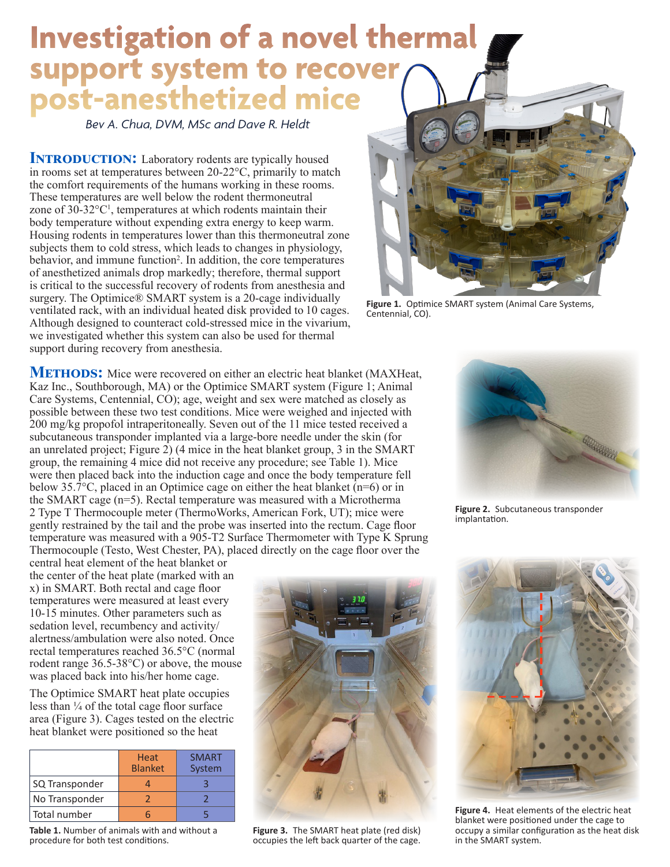## **Investigation of a novel thermal support system to recover post‑anesthetized mice**

*Bev A. Chua, DVM, MSc and Dave R. Heldt*

**INTRODUCTION:** Laboratory rodents are typically housed in rooms set at temperatures between 20-22°C, primarily to match the comfort requirements of the humans working in these rooms. These temperatures are well below the rodent thermoneutral zone of 30-32°C<sup>1</sup>, temperatures at which rodents maintain their body temperature without expending extra energy to keep warm. Housing rodents in temperatures lower than this thermoneutral zone subjects them to cold stress, which leads to changes in physiology, behavior, and immune function<sup>2</sup>. In addition, the core temperatures of anesthetized animals drop markedly; therefore, thermal support is critical to the successful recovery of rodents from anesthesia and surgery. The Optimice® SMART system is a 20-cage individually ventilated rack, with an individual heated disk provided to 10 cages. Although designed to counteract cold-stressed mice in the vivarium, we investigated whether this system can also be used for thermal support during recovery from anesthesia.



**Figure 1.** Optimice SMART system (Animal Care Systems, Centennial, CO).

**METHODS:** Mice were recovered on either an electric heat blanket (MAXHeat, Kaz Inc., Southborough, MA) or the Optimice SMART system (Figure 1; Animal Care Systems, Centennial, CO); age, weight and sex were matched as closely as possible between these two test conditions. Mice were weighed and injected with 200 mg/kg propofol intraperitoneally. Seven out of the 11 mice tested received a subcutaneous transponder implanted via a large-bore needle under the skin (for an unrelated project; Figure 2) (4 mice in the heat blanket group, 3 in the SMART group, the remaining 4 mice did not receive any procedure; see Table 1). Mice were then placed back into the induction cage and once the body temperature fell below 35.7°C, placed in an Optimice cage on either the heat blanket  $(n=6)$  or in the SMART cage (n=5). Rectal temperature was measured with a Microtherma 2 Type T Thermocouple meter (ThermoWorks, American Fork, UT); mice were gently restrained by the tail and the probe was inserted into the rectum. Cage floor temperature was measured with a 905-T2 Surface Thermometer with Type K Sprung Thermocouple (Testo, West Chester, PA), placed directly on the cage floor over the

central heat element of the heat blanket or the center of the heat plate (marked with an x) in SMART. Both rectal and cage floor temperatures were measured at least every 10-15 minutes. Other parameters such as sedation level, recumbency and activity/ alertness/ambulation were also noted. Once rectal temperatures reached 36.5°C (normal rodent range 36.5-38°C) or above, the mouse was placed back into his/her home cage.

The Optimice SMART heat plate occupies less than ¼ of the total cage floor surface area (Figure 3). Cages tested on the electric heat blanket were positioned so the heat

|                | <b>Heat</b><br><b>Blanket</b> | <b>SMART</b><br>System |
|----------------|-------------------------------|------------------------|
| SQ Transponder |                               |                        |
| No Transponder |                               |                        |
| Total number   |                               |                        |

**Table 1.** Number of animals with and without a procedure for both test conditions.



**Figure 3.** The SMART heat plate (red disk) occupies the left back quarter of the cage.



**Figure 2.** Subcutaneous transponder implantation.



**Figure 4.** Heat elements of the electric heat blanket were positioned under the cage to occupy a similar configuration as the heat disk in the SMART system.